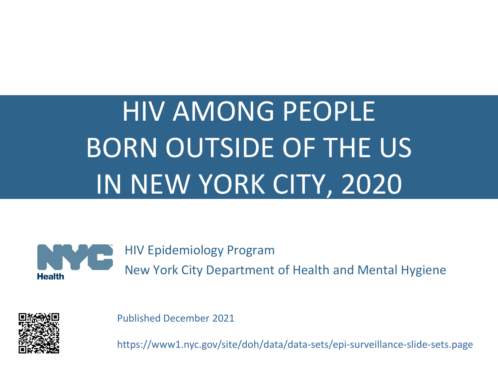# HIV AMONG PEOPLE BORN OUTSIDE OF THE US IN NEW YORK CITY, 2020



HIV Epidemiology Program

New York City Department of Health and Mental Hygiene



Published December 2021

https://www1.nyc.gov/site/doh/data/data-sets/epi-surveillance-slide-sets.page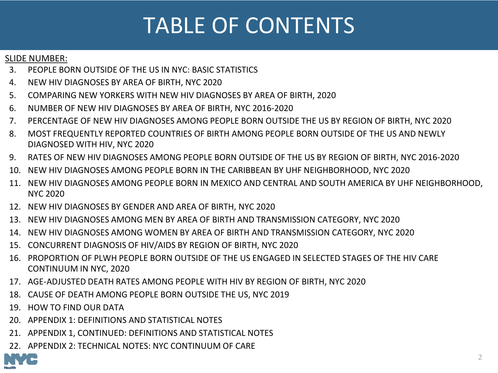# TABLE OF CONTENTS

#### SLIDE NUMBER:

- 3. [PEOPLE BORN OUTSIDE OF THE US IN NYC: BASIC STATISTICS](#page-2-0)
- 4. [NEW HIV DIAGNOSES BY AREA OF BIRTH, NYC 2020](#page-3-0)
- 5. [COMPARING NEW YORKERS WITH NEW HIV DIAGNOSES BY AREA OF BIRTH, 2020](#page-4-0)
- 6. [NUMBER OF NEW HIV DIAGNOSES BY AREA OF BIRTH, NYC 2016-2020](#page-5-0)
- 7. [PERCENTAGE OF NEW HIV DIAGNOSES AMONG PEOPLE BORN OUTSIDE THE US BY REGION OF BIRTH, NYC 2020](#page-6-0)
- 8. [MOST FREQUENTLY REPORTED COUNTRIES OF BIRTH AMONG PEOPLE BORN OUTSIDE OF THE US AND NEWLY](#page-7-0)  DIAGNOSED WITH HIV, NYC 2020
- 9. [RATES OF NEW HIV DIAGNOSES AMONG PEOPLE BORN OUTSIDE OF THE US BY REGION OF BIRTH, NYC 2016-2020](#page-8-0)
- 10. [NEW HIV DIAGNOSES AMONG PEOPLE BORN IN THE CARIBBEAN BY UHF NEIGHBORHOOD, NYC 2020](#page-9-0)
- 11. [NEW HIV DIAGNOSES AMONG PEOPLE BORN IN MEXICO AND CENTRAL AND SOUTH AMERICA BY UHF NEIGHBORHOOD,](#page-10-0)  NYC 2020
- 12. [NEW HIV DIAGNOSES BY GENDER AND AREA OF BIRTH, NYC 2020](#page-11-0)
- 13. [NEW HIV DIAGNOSES AMONG MEN BY AREA OF BIRTH AND TRANSMISSION CATEGORY, NYC 2020](#page-12-0)
- 14. [NEW HIV DIAGNOSES AMONG WOMEN BY AREA OF BIRTH AND TRANSMISSION CATEGORY, NYC 2020](#page-13-0)
- 15. [CONCURRENT DIAGNOSIS OF HIV/AIDS BY REGION OF BIRTH, NYC 2020](#page-14-0)
- 16. [PROPORTION OF PLWH PEOPLE BORN OUTSIDE OF THE US ENGAGED IN SELECTED STAGES OF THE HIV CARE](#page-15-0)  CONTINUUM IN NYC, 2020
- 17. [AGE-ADJUSTED DEATH RATES AMONG PEOPLE WITH HIV BY REGION OF BIRTH, NYC 2020](#page-16-0)
- 18. [CAUSE OF DEATH AMONG PEOPLE BORN OUTSIDE THE US, NYC 2019](#page-17-0)
- 19. [HOW TO FIND OUR DATA](#page-18-0)
- 20. [APPENDIX 1: DEFINITIONS AND STATISTICAL NOTES](#page-19-0)
- 21. [APPENDIX 1, CONTINUED: DEFINITIONS AND STATISTICAL NOTES](#page-20-0)
- 22. [APPENDIX 2: TECHNICAL NOTES: NYC CONTINUUM OF CARE](#page-21-0)

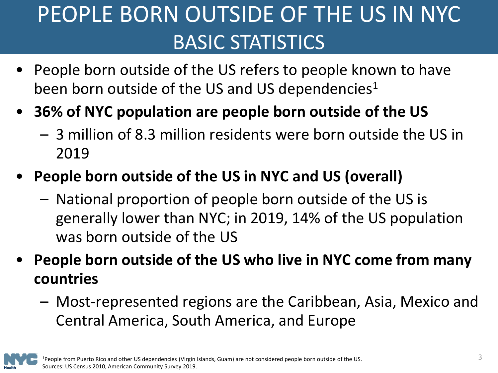# <span id="page-2-0"></span>PEOPLE BORN OUTSIDE OF THE US IN NYC BASIC STATISTICS

- People born outside of the US refers to people known to have been born outside of the US and US dependencies<sup>1</sup>
- **36% of NYC population are people born outside of the US**
	- 3 million of 8.3 million residents were born outside the US in 2019
- **People born outside of the US in NYC and US (overall)**
	- National proportion of people born outside of the US is generally lower than NYC; in 2019, 14% of the US population was born outside of the US
- **People born outside of the US who live in NYC come from many countries**
	- Most-represented regions are the Caribbean, Asia, Mexico and Central America, South America, and Europe

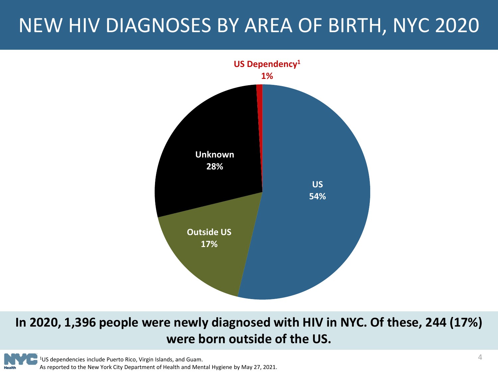### <span id="page-3-0"></span>NEW HIV DIAGNOSES BY AREA OF BIRTH, NYC 2020



#### **In 2020, 1,396 people were newly diagnosed with HIV in NYC. Of these, 244 (17%) were born outside of the US.**

1US dependencies include Puerto Rico, Virgin Islands, and Guam. As reported to the New York City Department of Health and Mental Hygiene by May 27, 2021.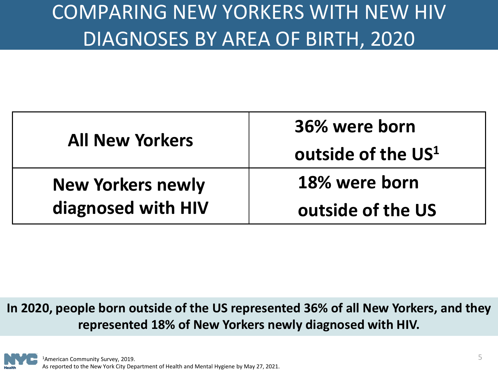### <span id="page-4-0"></span>COMPARING NEW YORKERS WITH NEW HIV DIAGNOSES BY AREA OF BIRTH, 2020

| <b>All New Yorkers</b>   | 36% were born                  |
|--------------------------|--------------------------------|
|                          | outside of the US <sup>1</sup> |
| <b>New Yorkers newly</b> | 18% were born                  |
| diagnosed with HIV       | outside of the US              |

#### **In 2020, people born outside of the US represented 36% of all New Yorkers, and they represented 18% of New Yorkers newly diagnosed with HIV.**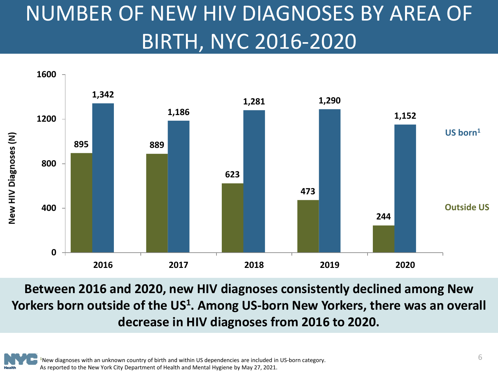# <span id="page-5-0"></span>NUMBER OF NEW HIV DIAGNOSES BY AREA OF BIRTH, NYC 2016-2020



**Between 2016 and 2020, new HIV diagnoses consistently declined among New**  Yorkers born outside of the US<sup>1</sup>. Among US-born New Yorkers, there was an overall **decrease in HIV diagnoses from 2016 to 2020.** 

**<sup>1</sup>**New diagnoses with an unknown country of birth and within US dependencies are included in US-born category. As reported to the New York City Department of Health and Mental Hygiene by May 27, 2021.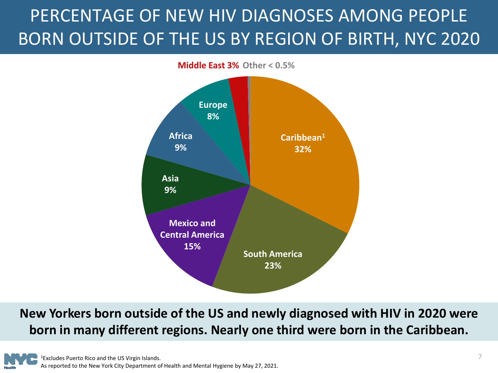### <span id="page-6-0"></span>PERCENTAGE OF NEW HIV DIAGNOSES AMONG PEOPLE BORN OUTSIDE OF THE US BY REGION OF BIRTH, NYC 2020



**New Yorkers born outside of the US and newly diagnosed with HIV in 2020 were born in many different regions. Nearly one third were born in the Caribbean.**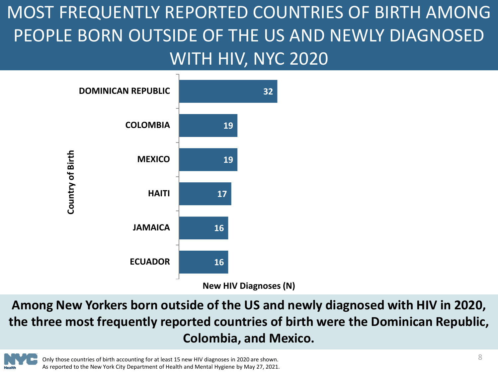<span id="page-7-0"></span>MOST FREQUENTLY REPORTED COUNTRIES OF BIRTH AMONG PEOPLE BORN OUTSIDE OF THE US AND NEWLY DIAGNOSED WITH HIV, NYC 2020



**Among New Yorkers born outside of the US and newly diagnosed with HIV in 2020, the three most frequently reported countries of birth were the Dominican Republic, Colombia, and Mexico.**

Only those countries of birth accounting for at least 15 new HIV diagnoses in 2020 are shown. As reported to the New York City Department of Health and Mental Hygiene by May 27, 2021.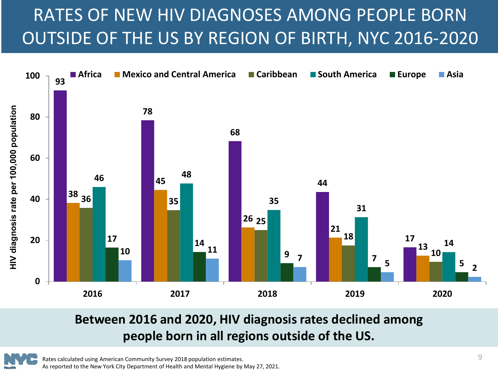### <span id="page-8-0"></span>RATES OF NEW HIV DIAGNOSES AMONG PEOPLE BORN OUTSIDE OF THE US BY REGION OF BIRTH, NYC 2016-2020



#### **Between 2016 and 2020, HIV diagnosis rates declined among people born in all regions outside of the US.**

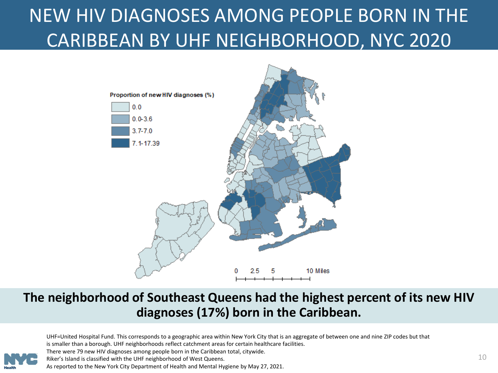### <span id="page-9-0"></span>NEW HIV DIAGNOSES AMONG PEOPLE BORN IN THE CARIBBEAN BY UHF NEIGHBORHOOD, NYC 2020



#### **The neighborhood of Southeast Queens had the highest percent of its new HIV diagnoses (17%) born in the Caribbean.**



UHF=United Hospital Fund. This corresponds to a geographic area within New York City that is an aggregate of between one and nine ZIP codes but that is smaller than a borough. UHF neighborhoods reflect catchment areas for certain healthcare facilities. There were 79 new HIV diagnoses among people born in the Caribbean total, citywide.

Riker's Island is classified with the UHF neighborhood of West Queens.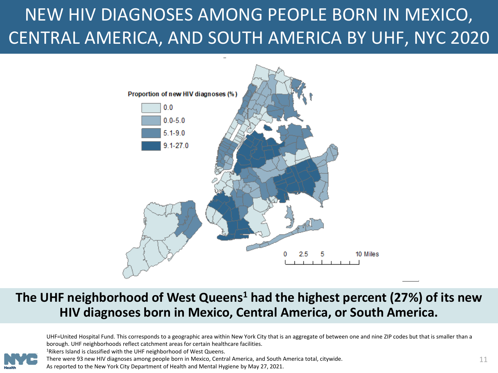### <span id="page-10-0"></span>NEW HIV DIAGNOSES AMONG PEOPLE BORN IN MEXICO, CENTRAL AMERICA, AND SOUTH AMERICA BY UHF, NYC 2020



#### **The UHF neighborhood of West Queens1 had the highest percent (27%) of its new HIV diagnoses born in Mexico, Central America, or South America.**



UHF=United Hospital Fund. This corresponds to a geographic area within New York City that is an aggregate of between one and nine ZIP codes but that is smaller than a borough. UHF neighborhoods reflect catchment areas for certain healthcare facilities. <sup>1</sup>Rikers Island is classified with the UHF neighborhood of West Queens.

There were 93 new HIV diagnoses among people born in Mexico, Central America, and South America total, citywide. As reported to the New York City Department of Health and Mental Hygiene by May 27, 2021.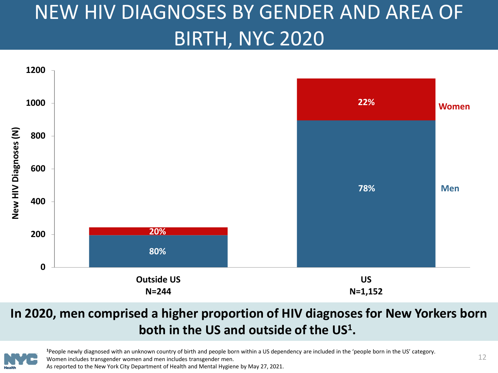# <span id="page-11-0"></span>NEW HIV DIAGNOSES BY GENDER AND AREA OF BIRTH, NYC 2020



#### **In 2020, men comprised a higher proportion of HIV diagnoses for New Yorkers born both in the US and outside of the US1.**



**<sup>1</sup>**People newly diagnosed with an unknown country of birth and people born within a US dependency are included in the 'people born in the US' category. Women includes transgender women and men includes transgender men. As reported to the New York City Department of Health and Mental Hygiene by May 27, 2021.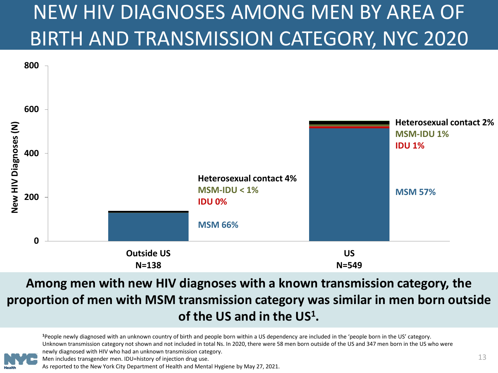# <span id="page-12-0"></span>NEW HIV DIAGNOSES AMONG MEN BY AREA OF BIRTH AND TRANSMISSION CATEGORY, NYC 2020



#### **Among men with new HIV diagnoses with a known transmission category, the proportion of men with MSM transmission category was similar in men born outside of the US and in the US1.**



<sup>1</sup>People newly diagnosed with an unknown country of birth and people born within a US dependency are included in the 'people born in the US' category. Unknown transmission category not shown and not included in total Ns. In 2020, there were 58 men born outside of the US and 347 men born in the US who were newly diagnosed with HIV who had an unknown transmission category.

Men includes transgender men. IDU=history of injection drug use.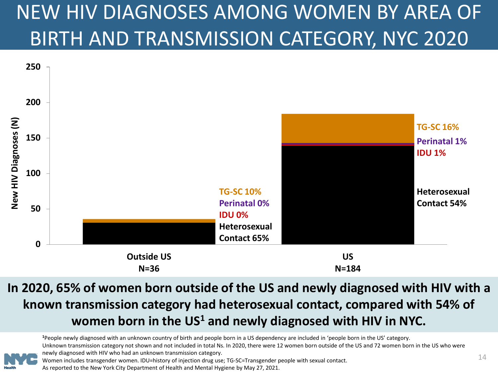# <span id="page-13-0"></span>NEW HIV DIAGNOSES AMONG WOMEN BY AREA OF BIRTH AND TRANSMISSION CATEGORY, NYC 2020



#### **In 2020, 65% of women born outside of the US and newly diagnosed with HIV with a known transmission category had heterosexual contact, compared with 54% of women born in the US1 and newly diagnosed with HIV in NYC.**

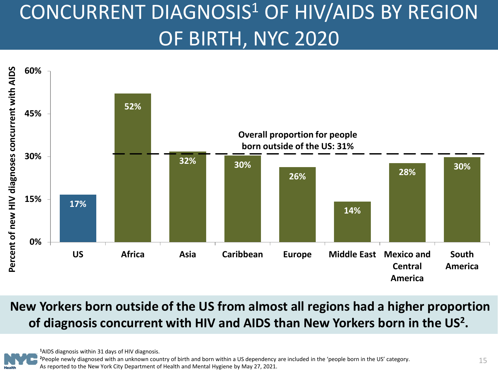# <span id="page-14-0"></span>CONCURRENT DIAGNOSIS<sup>1</sup> OF HIV/AIDS BY REGION OF BIRTH, NYC 2020



**New Yorkers born outside of the US from almost all regions had a higher proportion of diagnosis concurrent with HIV and AIDS than New Yorkers born in the US<sup>2</sup> .**

**<sup>1</sup>**AIDS diagnosis within 31 days of HIV diagnosis.

**<sup>2</sup>**People newly diagnosed with an unknown country of birth and born within a US dependency are included in the 'people born in the US' category. As reported to the New York City Department of Health and Mental Hygiene by May 27, 2021.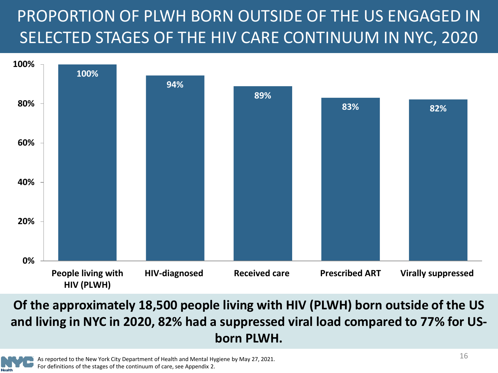### <span id="page-15-0"></span>PROPORTION OF PLWH BORN OUTSIDE OF THE US ENGAGED IN SELECTED STAGES OF THE HIV CARE CONTINUUM IN NYC, 2020



#### **Of the approximately 18,500 people living with HIV (PLWH) born outside of the US and living in NYC in 2020, 82% had a suppressed viral load compared to 77% for USborn PLWH.**

As reported to the New York City Department of Health and Mental Hygiene by May 27, 2021. For definitions of the stages of the continuum of care, see Appendix 2.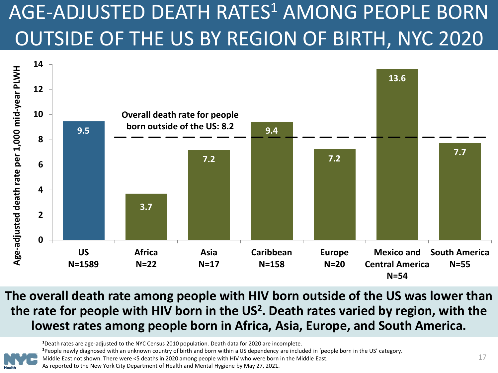# <span id="page-16-0"></span>AGE-ADJUSTED DEATH RATES<sup>1</sup> AMONG PEOPLE BORN OUTSIDE OF THE US BY REGION OF BIRTH, NYC 2020



**The overall death rate among people with HIV born outside of the US was lower than the rate for people with HIV born in the US<sup>2</sup> . Death rates varied by region, with the lowest rates among people born in Africa, Asia, Europe, and South America.** 

**<sup>1</sup>**Death rates are age-adjusted to the NYC Census 2010 population. Death data for 2020 are incomplete.

**<sup>2</sup>**People newly diagnosed with an unknown country of birth and born within a US dependency are included in 'people born in the US' category.

Middle East not shown. There were <5 deaths in 2020 among people with HIV who were born in the Middle East.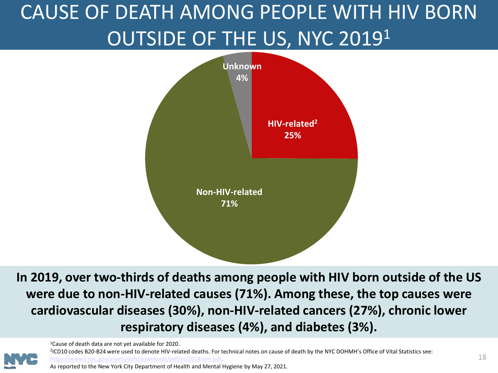# <span id="page-17-0"></span>CAUSE OF DEATH AMONG PEOPLE WITH HIV BORN OUTSIDE OF THE US, NYC 20191



**In 2019, over two-thirds of deaths among people with HIV born outside of the US were due to non-HIV-related causes (71%). Among these, the top causes were cardiovascular diseases (30%), non-HIV-related cancers (27%), chronic lower respiratory diseases (4%), and diabetes (3%).**

1Cause of death data are not yet available for 2020.

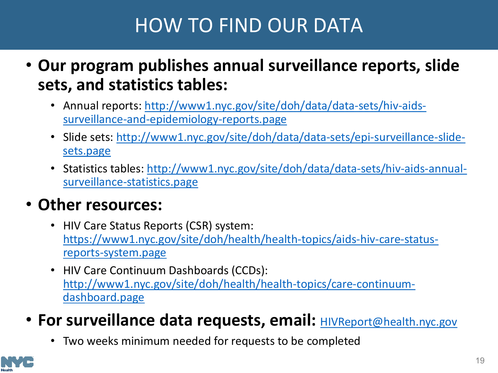### HOW TO FIND OUR DATA

- <span id="page-18-0"></span>• **Our program publishes annual surveillance reports, slide sets, and statistics tables:**
	- [Annual reports: http://www1.nyc.gov/site/doh/data/data-sets/hiv-aids](http://www1.nyc.gov/site/doh/data/data-sets/hiv-aids-surveillance-and-epidemiology-reports.page)surveillance-and-epidemiology-reports.page
	- [Slide sets: http://www1.nyc.gov/site/doh/data/data-sets/epi-surveillance-slide](http://www1.nyc.gov/site/doh/data/data-sets/epi-surveillance-slide-sets.page)sets.page
	- [Statistics tables: http://www1.nyc.gov/site/doh/data/data-sets/hiv-aids-annual](http://www1.nyc.gov/site/doh/data/data-sets/hiv-aids-annual-surveillance-statistics.page)surveillance-statistics.page

#### • **Other resources:**

- HIV Care Status Reports (CSR) system: [https://www1.nyc.gov/site/doh/health/health-topics/aids-hiv-care-status](https://www1.nyc.gov/site/doh/health/health-topics/aids-hiv-care-status-reports-system.page)reports-system.page
- HIV Care Continuum Dashboards (CCDs): [http://www1.nyc.gov/site/doh/health/health-topics/care-continuum](http://www1.nyc.gov/site/doh/health/health-topics/care-continuum-dashboard.page)dashboard.page
- For surveillance data requests, email: **[HIVReport@health.nyc.gov](mailto:HIVReport@health.nyc.gov)** 
	- Two weeks minimum needed for requests to be completed

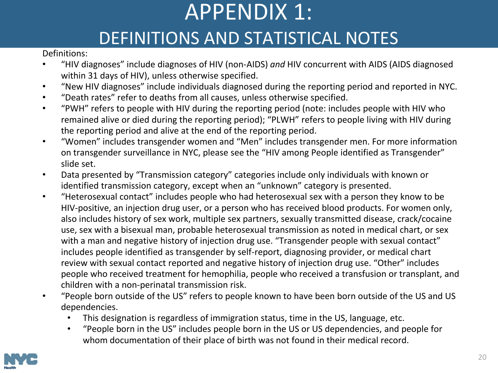# APPENDIX 1: DEFINITIONS AND STATISTICAL NOTES

<span id="page-19-0"></span>Definitions:

- "HIV diagnoses" include diagnoses of HIV (non-AIDS) *and* HIV concurrent with AIDS (AIDS diagnosed within 31 days of HIV), unless otherwise specified.
- "New HIV diagnoses" include individuals diagnosed during the reporting period and reported in NYC.
- "Death rates" refer to deaths from all causes, unless otherwise specified.
- "PWH" refers to people with HIV during the reporting period (note: includes people with HIV who remained alive or died during the reporting period); "PLWH" refers to people living with HIV during the reporting period and alive at the end of the reporting period.
- "Women" includes transgender women and "Men" includes transgender men. For more information on transgender surveillance in NYC, please see the "HIV among People identified as Transgender" slide set.
- Data presented by "Transmission category" categories include only individuals with known or identified transmission category, except when an "unknown" category is presented.
- "Heterosexual contact" includes people who had heterosexual sex with a person they know to be HIV-positive, an injection drug user, or a person who has received blood products. For women only, also includes history of sex work, multiple sex partners, sexually transmitted disease, crack/cocaine use, sex with a bisexual man, probable heterosexual transmission as noted in medical chart, or sex with a man and negative history of injection drug use. "Transgender people with sexual contact" includes people identified as transgender by self-report, diagnosing provider, or medical chart review with sexual contact reported and negative history of injection drug use. "Other" includes people who received treatment for hemophilia, people who received a transfusion or transplant, and children with a non-perinatal transmission risk.
- "People born outside of the US" refers to people known to have been born outside of the US and US dependencies.
	- This designation is regardless of immigration status, time in the US, language, etc.
	- "People born in the US" includes people born in the US or US dependencies, and people for whom documentation of their place of birth was not found in their medical record.

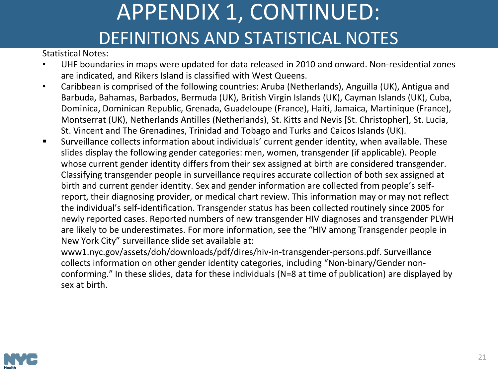### APPENDIX 1, CONTINUED: DEFINITIONS AND STATISTICAL NOTES

<span id="page-20-0"></span>Statistical Notes:

- UHF boundaries in maps were updated for data released in 2010 and onward. Non-residential zones are indicated, and Rikers Island is classified with West Queens.
- Caribbean is comprised of the following countries: Aruba (Netherlands), Anguilla (UK), Antigua and Barbuda, Bahamas, Barbados, Bermuda (UK), British Virgin Islands (UK), Cayman Islands (UK), Cuba, Dominica, Dominican Republic, Grenada, Guadeloupe (France), Haiti, Jamaica, Martinique (France), Montserrat (UK), Netherlands Antilles (Netherlands), St. Kitts and Nevis [St. Christopher], St. Lucia, St. Vincent and The Grenadines, Trinidad and Tobago and Turks and Caicos Islands (UK).
- Surveillance collects information about individuals' current gender identity, when available. These slides display the following gender categories: men, women, transgender (if applicable). People whose current gender identity differs from their sex assigned at birth are considered transgender. Classifying transgender people in surveillance requires accurate collection of both sex assigned at birth and current gender identity. Sex and gender information are collected from people's selfreport, their diagnosing provider, or medical chart review. This information may or may not reflect the individual's self-identification. Transgender status has been collected routinely since 2005 for newly reported cases. Reported numbers of new transgender HIV diagnoses and transgender PLWH are likely to be underestimates. For more information, see the "HIV among Transgender people in New York City" surveillance slide set available at:

www1.nyc.gov/assets/doh/downloads/pdf/dires/hiv-in-transgender-persons.pdf. Surveillance collects information on other gender identity categories, including "Non-binary/Gender nonconforming." In these slides, data for these individuals (N=8 at time of publication) are displayed by sex at birth.